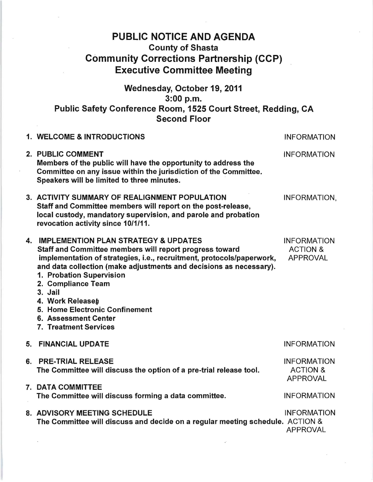## PUBLIC NOTICE AND AGENDA County of Shasta Community Corrections Partnership (CCP) Executive Committee Meeting

Wednesday, October 19,2011 3:00 p.m. Public Safety Conference Room, 1525 Court Street, Redding, CA Second Floor

| 1. WELCOME & INTRODUCTIONS                                                                                                                                                                                                                                                                                                                                                                                            | <b>INFORMATION</b>                                           |
|-----------------------------------------------------------------------------------------------------------------------------------------------------------------------------------------------------------------------------------------------------------------------------------------------------------------------------------------------------------------------------------------------------------------------|--------------------------------------------------------------|
| 2. PUBLIC COMMENT<br>Members of the public will have the opportunity to address the<br>Committee on any issue within the jurisdiction of the Committee.<br>Speakers will be limited to three minutes.                                                                                                                                                                                                                 | <b>INFORMATION</b>                                           |
| 3. ACTIVITY SUMMARY OF REALIGNMENT POPULATION<br>Staff and Committee members will report on the post-release,<br>local custody, mandatory supervision, and parole and probation<br>revocation activity since 10/1/11.                                                                                                                                                                                                 | INFORMATION,                                                 |
| 4. IMPLEMENTION PLAN STRATEGY & UPDATES<br>Staff and Committee members will report progress toward<br>implementation of strategies, i.e., recruitment, protocols/paperwork,<br>and data collection (make adjustments and decisions as necessary).<br>1. Probation Supervision<br>2. Compliance Team<br>3. Jail<br>4. Work Releaseh<br>5. Home Electronic Confinement<br>6. Assessment Center<br>7. Treatment Services | <b>INFORMATION</b><br><b>ACTION &amp;</b><br><b>APPROVAL</b> |
| 5. FINANCIAL UPDATE                                                                                                                                                                                                                                                                                                                                                                                                   | <b>INFORMATION</b>                                           |
| 6. PRE-TRIAL RELEASE<br>The Committee will discuss the option of a pre-trial release tool.                                                                                                                                                                                                                                                                                                                            | <b>INFORMATION</b><br><b>ACTION &amp;</b><br><b>APPROVAL</b> |
| 7. DATA COMMITTEE<br>The Committee will discuss forming a data committee.                                                                                                                                                                                                                                                                                                                                             | <b>INFORMATION</b>                                           |
| 8. ADVISORY MEETING SCHEDULE<br>The Committee will discuss and decide on a regular meeting schedule. ACTION &                                                                                                                                                                                                                                                                                                         | <b>INFORMATION</b><br><b>APPROVAL</b>                        |